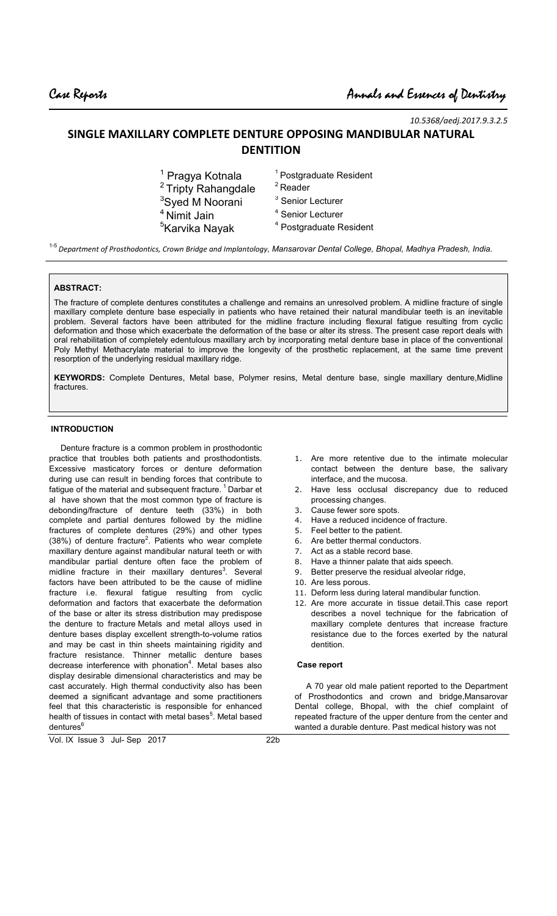*10.5368/aedj.2017.9.3.2.5*

# **SINGLE MAXILLARY COMPLETE DENTURE OPPOSING MANDIBULAR NATURAL DENTITION**

| <sup>1</sup> Pragya Kotnala    | <sup>1</sup> Postgraduate Resident |
|--------------------------------|------------------------------------|
| <sup>2</sup> Tripty Rahangdale | $2$ Reader                         |
| <sup>3</sup> Syed M Noorani    | <sup>3</sup> Senior Lecturer       |
| <sup>4</sup> Nimit Jain        | <sup>4</sup> Senior Lecturer       |
| <sup>5</sup> Karvika Nayak     | <sup>4</sup> Postgraduate Resident |
|                                |                                    |

1-5 *Department of Prosthodontics, Crown Bridge and Implantology, Mansarovar Dental College, Bhopal, Madhya Pradesh, India.*

### **ABSTRACT:**

The fracture of complete dentures constitutes a challenge and remains an unresolved problem. A midline fracture of single maxillary complete denture base especially in patients who have retained their natural mandibular teeth is an inevitable problem. Several factors have been attributed for the midline fracture including flexural fatigue resulting from cyclic deformation and those which exacerbate the deformation of the base or alter its stress. The present case report deals with oral rehabilitation of completely edentulous maxillary arch by incorporating metal denture base in place of the conventional Poly Methyl Methacrylate material to improve the longevity of the prosthetic replacement, at the same time prevent resorption of the underlying residual maxillary ridge.

**KEYWORDS:** Complete Dentures, Metal base, Polymer resins, Metal denture base, single maxillary denture,Midline fractures.

#### **INTRODUCTION**

 Denture fracture is a common problem in prosthodontic practice that troubles both patients and prosthodontists. Excessive masticatory forces or denture deformation during use can result in bending forces that contribute to fatigue of the material and subsequent fracture.<sup>1</sup> Darbar et al have shown that the most common type of fracture is debonding/fracture of denture teeth (33%) in both complete and partial dentures followed by the midline fractures of complete dentures (29%) and other types  $(38%)$  of denture fracture<sup>2</sup>. Patients who wear complete maxillary denture against mandibular natural teeth or with mandibular partial denture often face the problem of midline fracture in their maxillary dentures<sup>3</sup>. Several factors have been attributed to be the cause of midline fracture i.e. flexural fatigue resulting from cyclic deformation and factors that exacerbate the deformation of the base or alter its stress distribution may predispose the denture to fracture Metals and metal alloys used in denture bases display excellent strength-to-volume ratios and may be cast in thin sheets maintaining rigidity and fracture resistance. Thinner metallic denture bases decrease interference with phonation<sup>4</sup>. Metal bases also display desirable dimensional characteristics and may be cast accurately. High thermal conductivity also has been deemed a significant advantage and some practitioners feel that this characteristic is responsible for enhanced health of tissues in contact with metal bases<sup>5</sup>. Metal based dentures<sup>6</sup>

- 1. Are more retentive due to the intimate molecular contact between the denture base, the salivary interface, and the mucosa.
- 2. Have less occlusal discrepancy due to reduced processing changes.
- 3. Cause fewer sore spots.
- 4. Have a reduced incidence of fracture.
- 5. Feel better to the patient.
- 
- 6. Are better thermal conductors.<br>7. Act as a stable record base. Act as a stable record base.
- 8. Have a thinner palate that aids speech.
- 9. Better preserve the residual alveolar ridge,
- 10. Are less porous.
- 11. Deform less during lateral mandibular function.
- 12. Are more accurate in tissue detail.This case report describes a novel technique for the fabrication of maxillary complete dentures that increase fracture resistance due to the forces exerted by the natural dentition.

#### **Case report**

 A 70 year old male patient reported to the Department of Prosthodontics and crown and bridge,Mansarovar Dental college, Bhopal, with the chief complaint of repeated fracture of the upper denture from the center and wanted a durable denture. Past medical history was not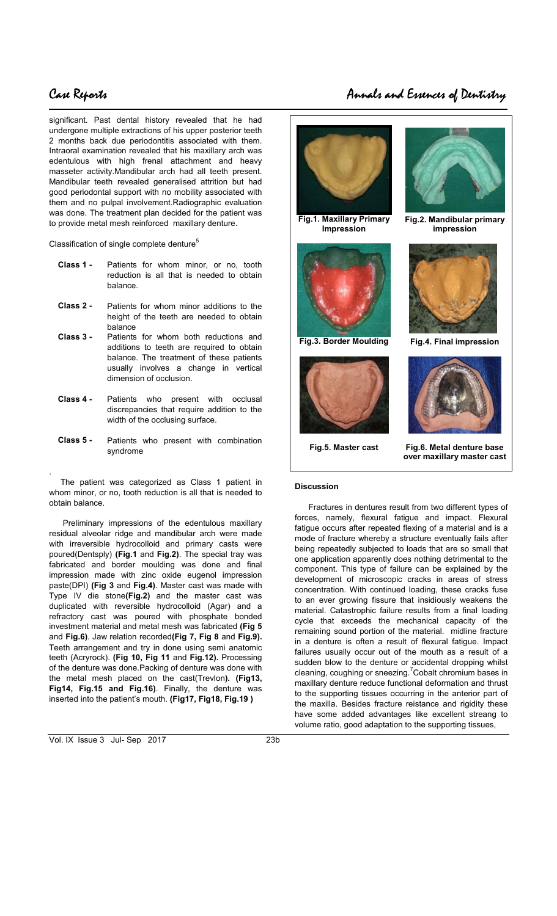# $\overline{\phantom{a}}$

.

significant. Past dental history revealed that he had undergone multiple extractions of his upper posterior teeth 2 months back due periodontitis associated with them. Intraoral examination revealed that his maxillary arch was edentulous with high frenal attachment and heavy masseter activity.Mandibular arch had all teeth present. Mandibular teeth revealed generalised attrition but had good periodontal support with no mobility associated with them and no pulpal involvement.Radiographic evaluation was done. The treatment plan decided for the patient was to provide metal mesh reinforced maxillary denture.

Classification of single complete denture<sup>5</sup>

- **Class 1 -** Patients for whom minor, or no, tooth reduction is all that is needed to obtain balance.
- **Class 2 -** Patients for whom minor additions to the height of the teeth are needed to obtain balance
- **Class 3 -** Patients for whom both reductions and additions to teeth are required to obtain balance. The treatment of these patients usually involves a change in vertical dimension of occlusion.
- **Class 4 -** Patients who present with occlusal discrepancies that require addition to the width of the occlusing surface.
- **Class 5 -** Patients who present with combination syndrome

 The patient was categorized as Class 1 patient in whom minor, or no, tooth reduction is all that is needed to obtain balance.

 Preliminary impressions of the edentulous maxillary residual alveolar ridge and mandibular arch were made with irreversible hydrocolloid and primary casts were poured(Dentsply) **(Fig.1** and **Fig.2)**. The special tray was fabricated and border moulding was done and final impression made with zinc oxide eugenol impression paste(DPI) **(Fig 3** and **Fig.4)**. Master cast was made with Type IV die stone**(Fig.2)** and the master cast was duplicated with reversible hydrocolloid (Agar) and a refractory cast was poured with phosphate bonded investment material and metal mesh was fabricated **(Fig 5**  and **Fig.6)**. Jaw relation recorded**(Fig 7, Fig 8** and **Fig.9).**  Teeth arrangement and try in done using semi anatomic teeth (Acryrock). **(Fig 10, Fig 11** and **Fig.12).** Processing of the denture was done.Packing of denture was done with the metal mesh placed on the cast(Trevlon**). (Fig13, Fig14, Fig.15 and Fig.16)**. Finally, the denture was inserted into the patient's mouth. **(Fig17, Fig18, Fig.19 )**



**Fig.1. Maxillary Primary Impression** 



**Fig.3. Border Moulding Fig.4. Final impression** 



**Fig.5. Master cast Fig.6. Metal denture base over maxillary master cast** 

**Fig.2. Mandibular primary impression** 

### **Discussion**

 Fractures in dentures result from two different types of forces, namely, flexural fatigue and impact. Flexural fatigue occurs after repeated flexing of a material and is a mode of fracture whereby a structure eventually fails after being repeatedly subjected to loads that are so small that one application apparently does nothing detrimental to the component. This type of failure can be explained by the development of microscopic cracks in areas of stress concentration. With continued loading, these cracks fuse to an ever growing fissure that insidiously weakens the material. Catastrophic failure results from a final loading cycle that exceeds the mechanical capacity of the remaining sound portion of the material. midline fracture in a denture is often a result of flexural fatigue. Impact failures usually occur out of the mouth as a result of a sudden blow to the denture or accidental dropping whilst cleaning, coughing or sneezing.<sup>7</sup>Cobalt chromium bases in maxillary denture reduce functional deformation and thrust to the supporting tissues occurring in the anterior part of the maxilla. Besides fracture reistance and rigidity these have some added advantages like excellent streang to volume ratio, good adaptation to the supporting tissues,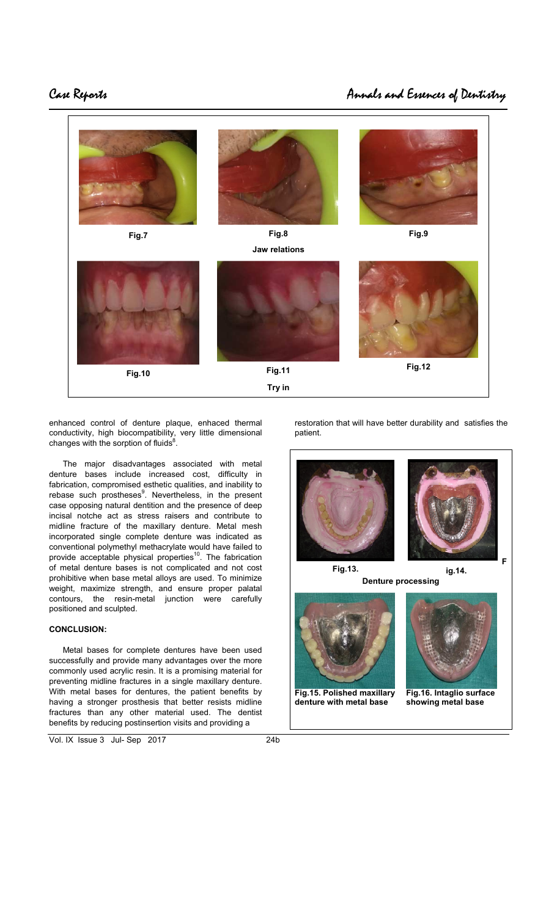# $\overline{\phantom{a}}$



enhanced control of denture plaque, enhaced thermal conductivity, high biocompatibility, very little dimensional changes with the sorption of fluids $8$ .

 The major disadvantages associated with metal denture bases include increased cost, difficulty in fabrication, compromised esthetic qualities, and inability to rebase such prostheses<sup>9</sup>. Nevertheless, in the present case opposing natural dentition and the presence of deep incisal notche act as stress raisers and contribute to midline fracture of the maxillary denture. Metal mesh incorporated single complete denture was indicated as conventional polymethyl methacrylate would have failed to provide acceptable physical properties<sup>10</sup>. The fabrication of metal denture bases is not complicated and not cost prohibitive when base metal alloys are used. To minimize weight, maximize strength, and ensure proper palatal contours, the resin-metal junction were carefully positioned and sculpted.

### **CONCLUSION:**

 Metal bases for complete dentures have been used successfully and provide many advantages over the more commonly used acrylic resin. It is a promising material for preventing midline fractures in a single maxillary denture. With metal bases for dentures, the patient benefits by having a stronger prosthesis that better resists midline fractures than any other material used. The dentist benefits by reducing postinsertion visits and providing a

Vol. IX Issue 3 Jul- Sep 2017 24b

restoration that will have better durability and satisfies the patient.



**Fig.15. Polished maxillary denture with metal base** 

**Fig.16. Intaglio surface showing metal base**